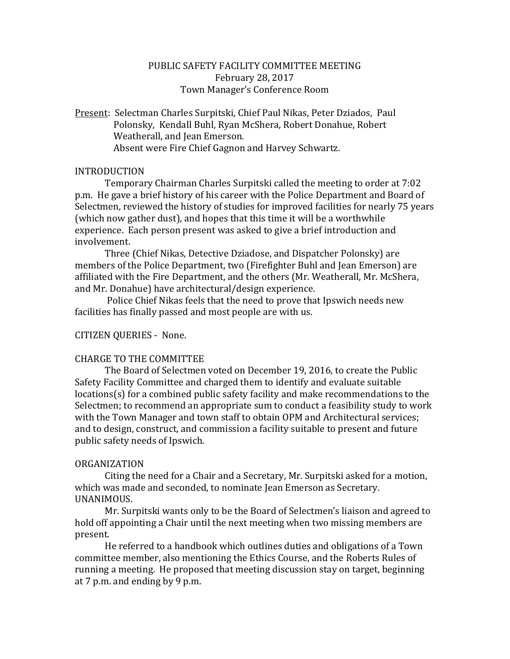# PUBLIC SAFETY FACILITY COMMITTEE MEETING February 28, 2017 Town Manager's Conference Room

Present: Selectman Charles Surpitski, Chief Paul Nikas, Peter Dziados, Paul Polonsky, Kendall Buhl, Ryan McShera, Robert Donahue, Robert Weatherall, and Jean Emerson. Absent were Fire Chief Gagnon and Harvey Schwartz.

# INTRODUCTION

Temporary Chairman Charles Surpitski called the meeting to order at 7:02 p.m. He gave a brief history of his career with the Police Department and Board of Selectmen, reviewed the history of studies for improved facilities for nearly 75 years (which now gather dust), and hopes that this time it will be a worthwhile experience. Each person present was asked to give a brief introduction and involvement.

Three (Chief Nikas, Detective Dziadose, and Dispatcher Polonsky) are members of the Police Department, two (Firefighter Buhl and Jean Emerson) are affiliated with the Fire Department, and the others (Mr. Weatherall, Mr. McShera, and Mr. Donahue) have architectural/design experience.

Police Chief Nikas feels that the need to prove that Ipswich needs new facilities has finally passed and most people are with us.

# CITIZEN QUERIES - None.

## CHARGE TO THE COMMITTEE

The Board of Selectmen voted on December 19, 2016, to create the Public Safety Facility Committee and charged them to identify and evaluate suitable locations(s) for a combined public safety facility and make recommendations to the Selectmen; to recommend an appropriate sum to conduct a feasibility study to work with the Town Manager and town staff to obtain OPM and Architectural services; and to design, construct, and commission a facility suitable to present and future public safety needs of Ipswich.

## ORGANIZATION

Citing the need for a Chair and a Secretary, Mr. Surpitski asked for a motion, which was made and seconded, to nominate Jean Emerson as Secretary. UNANIMOUS.

Mr. Surpitski wants only to be the Board of Selectmen's liaison and agreed to hold off appointing a Chair until the next meeting when two missing members are present.

He referred to a handbook which outlines duties and obligations of a Town committee member, also mentioning the Ethics Course, and the Roberts Rules of running a meeting. He proposed that meeting discussion stay on target, beginning at 7 p.m. and ending by 9 p.m.